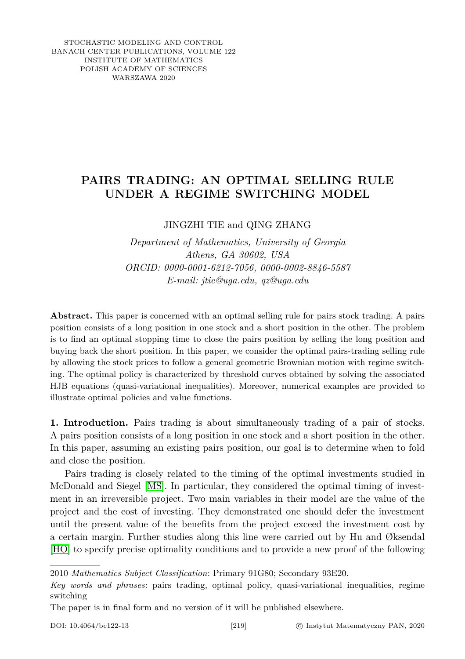STOCHASTIC MODELING AND CONTROL BANACH CENTER PUBLICATIONS, VOLUME 122 INSTITUTE OF MATHEMATICS POLISH ACADEMY OF SCIENCES WARSZAWA 2020

## **PAIRS TRADING: AN OPTIMAL SELLING RULE UNDER A REGIME SWITCHING MODEL**

JINGZHI TIE and QING ZHANG

*Department of Mathematics, University of Georgia Athens, GA 30602, USA ORCID: 0000-0001-6212-7056, 0000-0002-8846-5587 E-mail: jtie@uga.edu, qz@uga.edu*

**Abstract.** This paper is concerned with an optimal selling rule for pairs stock trading. A pairs position consists of a long position in one stock and a short position in the other. The problem is to find an optimal stopping time to close the pairs position by selling the long position and buying back the short position. In this paper, we consider the optimal pairs-trading selling rule by allowing the stock prices to follow a general geometric Brownian motion with regime switching. The optimal policy is characterized by threshold curves obtained by solving the associated HJB equations (quasi-variational inequalities). Moreover, numerical examples are provided to illustrate optimal policies and value functions.

**1. Introduction.** Pairs trading is about simultaneously trading of a pair of stocks. A pairs position consists of a long position in one stock and a short position in the other. In this paper, assuming an existing pairs position, our goal is to determine when to fold and close the position.

Pairs trading is closely related to the timing of the optimal investments studied in McDonald and Siegel [\[MS\]](#page-13-0). In particular, they considered the optimal timing of investment in an irreversible project. Two main variables in their model are the value of the project and the cost of investing. They demonstrated one should defer the investment until the present value of the benefits from the project exceed the investment cost by a certain margin. Further studies along this line were carried out by Hu and Øksendal [\[HO\]](#page-13-1) to specify precise optimality conditions and to provide a new proof of the following

2010 *Mathematics Subject Classification*: Primary 91G80; Secondary 93E20.

*Key words and phrases*: pairs trading, optimal policy, quasi-variational inequalities, regime switching

The paper is in final form and no version of it will be published elsewhere.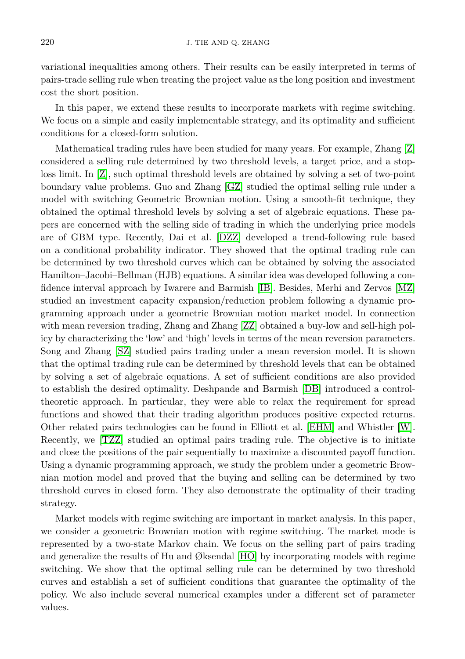variational inequalities among others. Their results can be easily interpreted in terms of pairs-trade selling rule when treating the project value as the long position and investment cost the short position.

In this paper, we extend these results to incorporate markets with regime switching. We focus on a simple and easily implementable strategy, and its optimality and sufficient conditions for a closed-form solution.

Mathematical trading rules have been studied for many years. For example, Zhang [\[Z\]](#page-13-2) considered a selling rule determined by two threshold levels, a target price, and a stoploss limit. In [\[Z\]](#page-13-2), such optimal threshold levels are obtained by solving a set of two-point boundary value problems. Guo and Zhang [\[GZ\]](#page-13-3) studied the optimal selling rule under a model with switching Geometric Brownian motion. Using a smooth-fit technique, they obtained the optimal threshold levels by solving a set of algebraic equations. These papers are concerned with the selling side of trading in which the underlying price models are of GBM type. Recently, Dai et al. [\[DZZ\]](#page-13-4) developed a trend-following rule based on a conditional probability indicator. They showed that the optimal trading rule can be determined by two threshold curves which can be obtained by solving the associated Hamilton–Jacobi–Bellman (HJB) equations. A similar idea was developed following a confidence interval approach by Iwarere and Barmish [\[IB\]](#page-13-5). Besides, Merhi and Zervos [\[MZ\]](#page-13-6) studied an investment capacity expansion/reduction problem following a dynamic programming approach under a geometric Brownian motion market model. In connection with mean reversion trading, Zhang and Zhang [\[ZZ\]](#page-13-7) obtained a buy-low and sell-high policy by characterizing the 'low' and 'high' levels in terms of the mean reversion parameters. Song and Zhang [\[SZ\]](#page-13-8) studied pairs trading under a mean reversion model. It is shown that the optimal trading rule can be determined by threshold levels that can be obtained by solving a set of algebraic equations. A set of sufficient conditions are also provided to establish the desired optimality. Deshpande and Barmish [\[DB\]](#page-13-9) introduced a controltheoretic approach. In particular, they were able to relax the requirement for spread functions and showed that their trading algorithm produces positive expected returns. Other related pairs technologies can be found in Elliott et al. [\[EHM\]](#page-13-10) and Whistler [\[W\]](#page-13-11). Recently, we [\[TZZ\]](#page-13-12) studied an optimal pairs trading rule. The objective is to initiate and close the positions of the pair sequentially to maximize a discounted payoff function. Using a dynamic programming approach, we study the problem under a geometric Brownian motion model and proved that the buying and selling can be determined by two threshold curves in closed form. They also demonstrate the optimality of their trading strategy.

Market models with regime switching are important in market analysis. In this paper, we consider a geometric Brownian motion with regime switching. The market mode is represented by a two-state Markov chain. We focus on the selling part of pairs trading and generalize the results of Hu and Øksendal [\[HO\]](#page-13-1) by incorporating models with regime switching. We show that the optimal selling rule can be determined by two threshold curves and establish a set of sufficient conditions that guarantee the optimality of the policy. We also include several numerical examples under a different set of parameter values.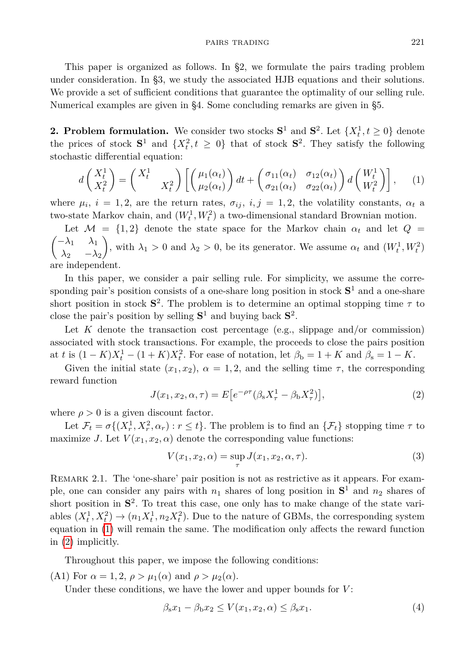This paper is organized as follows. In §2, we formulate the pairs trading problem under consideration. In §3, we study the associated HJB equations and their solutions. We provide a set of sufficient conditions that guarantee the optimality of our selling rule. Numerical examples are given in §4. Some concluding remarks are given in §5.

**2. Problem formulation.** We consider two stocks  $S^1$  and  $S^2$ . Let  $\{X_t^1, t \geq 0\}$  denote the prices of stock  $S^1$  and  $\{X_t^2, t \geq 0\}$  that of stock  $S^2$ . They satisfy the following stochastic differential equation:

<span id="page-2-0"></span>
$$
d\begin{pmatrix} X_t^1 \\ X_t^2 \end{pmatrix} = \begin{pmatrix} X_t^1 \\ X_t^2 \end{pmatrix} \left[ \begin{pmatrix} \mu_1(\alpha_t) \\ \mu_2(\alpha_t) \end{pmatrix} dt + \begin{pmatrix} \sigma_{11}(\alpha_t) & \sigma_{12}(\alpha_t) \\ \sigma_{21}(\alpha_t) & \sigma_{22}(\alpha_t) \end{pmatrix} d \begin{pmatrix} W_t^1 \\ W_t^2 \end{pmatrix} \right], \quad (1)
$$

where  $\mu_i$ ,  $i = 1, 2$ , are the return rates,  $\sigma_{ij}$ ,  $i, j = 1, 2$ , the volatility constants,  $\alpha_t$  a two-state Markov chain, and  $(W_t^1, W_t^2)$  a two-dimensional standard Brownian motion.

Let  $\mathcal{M} = \{1, 2\}$  denote the state space for the Markov chain  $\alpha_t$  and let  $Q =$  $\begin{pmatrix} -\lambda_1 & \lambda_1 \end{pmatrix}$  $\lambda_2$  − $\lambda_2$ , with  $\lambda_1 > 0$  and  $\lambda_2 > 0$ , be its generator. We assume  $\alpha_t$  and  $(W_t^1, W_t^2)$ are independent.

In this paper, we consider a pair selling rule. For simplicity, we assume the corresponding pair's position consists of a one-share long position in stock **S** <sup>1</sup> and a one-share short position in stock  $S^2$ . The problem is to determine an optimal stopping time  $\tau$  to close the pair's position by selling  $S^1$  and buying back  $S^2$ .

Let  $K$  denote the transaction cost percentage (e.g., slippage and/or commission) associated with stock transactions. For example, the proceeds to close the pairs position at *t* is  $(1 - K)X_t^1 - (1 + K)X_t^2$ . For ease of notation, let  $\beta_b = 1 + K$  and  $\beta_s = 1 - K$ .

Given the initial state  $(x_1, x_2)$ ,  $\alpha = 1, 2$ , and the selling time  $\tau$ , the corresponding reward function

<span id="page-2-1"></span>
$$
J(x_1, x_2, \alpha, \tau) = E\left[e^{-\rho \tau} (\beta_s X_\tau^1 - \beta_b X_\tau^2)\right],\tag{2}
$$

where  $\rho > 0$  is a given discount factor.

Let  $\mathcal{F}_t = \sigma\{(X_r^1, X_r^2, \alpha_r) : r \leq t\}$ . The problem is to find an  $\{\mathcal{F}_t\}$  stopping time  $\tau$  to maximize *J*. Let  $V(x_1, x_2, \alpha)$  denote the corresponding value functions:

$$
V(x_1, x_2, \alpha) = \sup_{\tau} J(x_1, x_2, \alpha, \tau).
$$
 (3)

Remark 2.1. The 'one-share' pair position is not as restrictive as it appears. For example, one can consider any pairs with  $n_1$  shares of long position in  $S^1$  and  $n_2$  shares of short position in **S** 2 . To treat this case, one only has to make change of the state variables  $(X_t^1, X_t^2) \to (n_1 X_t^1, n_2 X_t^2)$ . Due to the nature of GBMs, the corresponding system equation in [\(1\)](#page-2-0) will remain the same. The modification only affects the reward function in [\(2\)](#page-2-1) implicitly.

Throughout this paper, we impose the following conditions:

(A1) For  $\alpha = 1, 2, \rho > \mu_1(\alpha)$  and  $\rho > \mu_2(\alpha)$ .

Under these conditions, we have the lower and upper bounds for *V* :

<span id="page-2-2"></span>
$$
\beta_{s}x_{1} - \beta_{b}x_{2} \le V(x_{1}, x_{2}, \alpha) \le \beta_{s}x_{1}.
$$
\n
$$
(4)
$$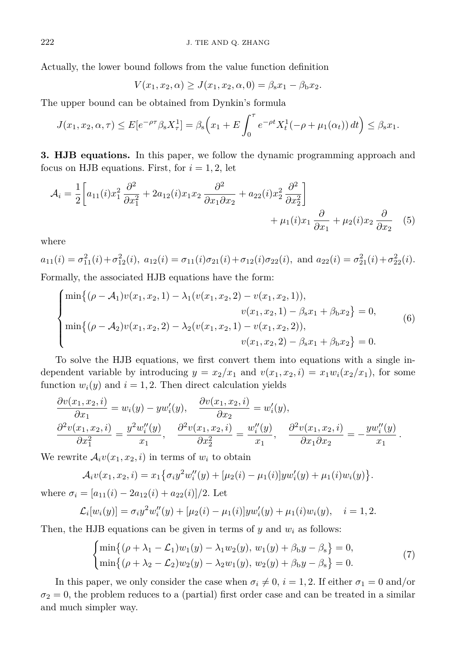Actually, the lower bound follows from the value function definition

$$
V(x_1, x_2, \alpha) \ge J(x_1, x_2, \alpha, 0) = \beta_{s} x_1 - \beta_{b} x_2.
$$

The upper bound can be obtained from Dynkin's formula

$$
J(x_1, x_2, \alpha, \tau) \le E[e^{-\rho \tau} \beta_s X_\tau^1] = \beta_s \Big( x_1 + E \int_0^\tau e^{-\rho t} X_t^1(-\rho + \mu_1(\alpha_t)) dt \Big) \le \beta_s x_1.
$$

**3. HJB equations.** In this paper, we follow the dynamic programming approach and focus on HJB equations. First, for  $i = 1, 2$ , let

$$
\mathcal{A}_{i} = \frac{1}{2} \left[ a_{11}(i)x_{1}^{2} \frac{\partial^{2}}{\partial x_{1}^{2}} + 2a_{12}(i)x_{1}x_{2} \frac{\partial^{2}}{\partial x_{1} \partial x_{2}} + a_{22}(i)x_{2}^{2} \frac{\partial^{2}}{\partial x_{2}^{2}} \right] + \mu_{1}(i)x_{1} \frac{\partial}{\partial x_{1}} + \mu_{2}(i)x_{2} \frac{\partial}{\partial x_{2}} \quad (5)
$$

where

$$
a_{11}(i) = \sigma_{11}^2(i) + \sigma_{12}^2(i)
$$
,  $a_{12}(i) = \sigma_{11}(i)\sigma_{21}(i) + \sigma_{12}(i)\sigma_{22}(i)$ , and  $a_{22}(i) = \sigma_{21}^2(i) + \sigma_{22}^2(i)$ .  
Formally the associated HIR equations have the form:

Formally, the associated HJB equations have the form:

$$
\begin{cases}\n\min\{(\rho - A_1)v(x_1, x_2, 1) - \lambda_1(v(x_1, x_2, 2) - v(x_1, x_2, 1)), \\
v(x_1, x_2, 1) - \beta_s x_1 + \beta_b x_2\} = 0, \\
\min\{(\rho - A_2)v(x_1, x_2, 2) - \lambda_2(v(x_1, x_2, 1) - v(x_1, x_2, 2)), \\
v(x_1, x_2, 2) - \beta_s x_1 + \beta_b x_2\} = 0.\n\end{cases}
$$
\n(6)

To solve the HJB equations, we first convert them into equations with a single independent variable by introducing  $y = x_2/x_1$  and  $v(x_1, x_2, i) = x_1w_i(x_2/x_1)$ , for some function  $w_i(y)$  and  $i = 1, 2$ . Then direct calculation yields

$$
\frac{\partial v(x_1, x_2, i)}{\partial x_1} = w_i(y) - yw'_i(y), \quad \frac{\partial v(x_1, x_2, i)}{\partial x_2} = w'_i(y), \n\frac{\partial^2 v(x_1, x_2, i)}{\partial x_1^2} = \frac{y^2 w''_i(y)}{x_1}, \quad \frac{\partial^2 v(x_1, x_2, i)}{\partial x_2^2} = \frac{w''_i(y)}{x_1}, \quad \frac{\partial^2 v(x_1, x_2, i)}{\partial x_1 \partial x_2} = -\frac{y w''_i(y)}{x_1}.
$$

We rewrite  $\mathcal{A}_i v(x_1, x_2, i)$  in terms of  $w_i$  to obtain

$$
\mathcal{A}_i v(x_1, x_2, i) = x_1 \{ \sigma_i y^2 w''_i(y) + [\mu_2(i) - \mu_1(i)] y w'_i(y) + \mu_1(i) w_i(y) \}.
$$

where  $\sigma_i = [a_{11}(i) - 2a_{12}(i) + a_{22}(i)]/2$ . Let

$$
\mathcal{L}_i[w_i(y)] = \sigma_i y^2 w_i''(y) + [\mu_2(i) - \mu_1(i)] y w_i'(y) + \mu_1(i) w_i(y), \quad i = 1, 2.
$$

Then, the HJB equations can be given in terms of *y* and *w<sup>i</sup>* as follows:

$$
\begin{cases}\n\min\{(\rho + \lambda_1 - \mathcal{L}_1)w_1(y) - \lambda_1 w_2(y), w_1(y) + \beta_b y - \beta_s\} = 0, \\
\min\{(\rho + \lambda_2 - \mathcal{L}_2)w_2(y) - \lambda_2 w_1(y), w_2(y) + \beta_b y - \beta_s\} = 0.\n\end{cases}
$$
\n(7)

In this paper, we only consider the case when  $\sigma_i \neq 0$ ,  $i = 1, 2$ . If either  $\sigma_1 = 0$  and/or  $\sigma_2 = 0$ , the problem reduces to a (partial) first order case and can be treated in a similar and much simpler way.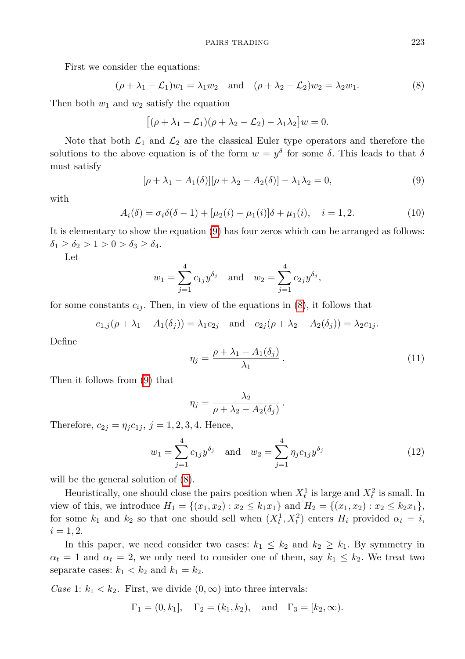First we consider the equations:

$$
(\rho + \lambda_1 - \mathcal{L}_1)w_1 = \lambda_1 w_2 \quad \text{and} \quad (\rho + \lambda_2 - \mathcal{L}_2)w_2 = \lambda_2 w_1. \tag{8}
$$

Then both  $w_1$  and  $w_2$  satisfy the equation

<span id="page-4-1"></span>
$$
[(\rho + \lambda_1 - \mathcal{L}_1)(\rho + \lambda_2 - \mathcal{L}_2) - \lambda_1 \lambda_2]w = 0.
$$

Note that both  $\mathcal{L}_1$  and  $\mathcal{L}_2$  are the classical Euler type operators and therefore the solutions to the above equation is of the form  $w = y^{\delta}$  for some  $\delta$ . This leads to that  $\delta$ must satisfy

<span id="page-4-0"></span>
$$
[\rho + \lambda_1 - A_1(\delta)][\rho + \lambda_2 - A_2(\delta)] - \lambda_1 \lambda_2 = 0,\tag{9}
$$

with

$$
A_i(\delta) = \sigma_i \delta(\delta - 1) + [\mu_2(i) - \mu_1(i)]\delta + \mu_1(i), \quad i = 1, 2.
$$
 (10)

It is elementary to show the equation [\(9\)](#page-4-0) has four zeros which can be arranged as follows:  $\delta_1 \geq \delta_2 > 1 > 0 > \delta_3 \geq \delta_4.$ 

Let

$$
w_1 = \sum_{j=1}^4 c_{1j} y^{\delta_j}
$$
 and  $w_2 = \sum_{j=1}^4 c_{2j} y^{\delta_j}$ ,

for some constants  $c_{ij}$ . Then, in view of the equations in  $(8)$ , it follows that

$$
c_{1,j}(\rho + \lambda_1 - A_1(\delta_j)) = \lambda_1 c_{2j}
$$
 and  $c_{2j}(\rho + \lambda_2 - A_2(\delta_j)) = \lambda_2 c_{1j}$ .

Define

$$
\eta_j = \frac{\rho + \lambda_1 - A_1(\delta_j)}{\lambda_1} \,. \tag{11}
$$

Then it follows from [\(9\)](#page-4-0) that

<span id="page-4-2"></span>
$$
\eta_j = \frac{\lambda_2}{\rho + \lambda_2 - A_2(\delta_j)}.
$$

Therefore,  $c_{2j} = \eta_j c_{1j}, j = 1, 2, 3, 4$ . Hence,

$$
w_1 = \sum_{j=1}^4 c_{1j} y^{\delta_j} \quad \text{and} \quad w_2 = \sum_{j=1}^4 \eta_j c_{1j} y^{\delta_j} \tag{12}
$$

will be the general solution of  $(8)$ .

Heuristically, one should close the pairs position when  $X_t^1$  is large and  $X_t^2$  is small. In view of this, we introduce  $H_1 = \{(x_1, x_2) : x_2 \leq k_1 x_1\}$  and  $H_2 = \{(x_1, x_2) : x_2 \leq k_2 x_1\}$ , for some  $k_1$  and  $k_2$  so that one should sell when  $(X_t^1, X_t^2)$  enters  $H_i$  provided  $\alpha_t = i$ ,  $i = 1, 2.$ 

In this paper, we need consider two cases:  $k_1 \leq k_2$  and  $k_2 \geq k_1$ . By symmetry in  $\alpha_t = 1$  and  $\alpha_t = 2$ , we only need to consider one of them, say  $k_1 \leq k_2$ . We treat two separate cases:  $k_1 < k_2$  and  $k_1 = k_2$ .

*Case* 1:  $k_1 < k_2$ . First, we divide  $(0, \infty)$  into three intervals:

$$
\Gamma_1 = (0, k_1], \quad \Gamma_2 = (k_1, k_2), \quad \text{and} \quad \Gamma_3 = [k_2, \infty).
$$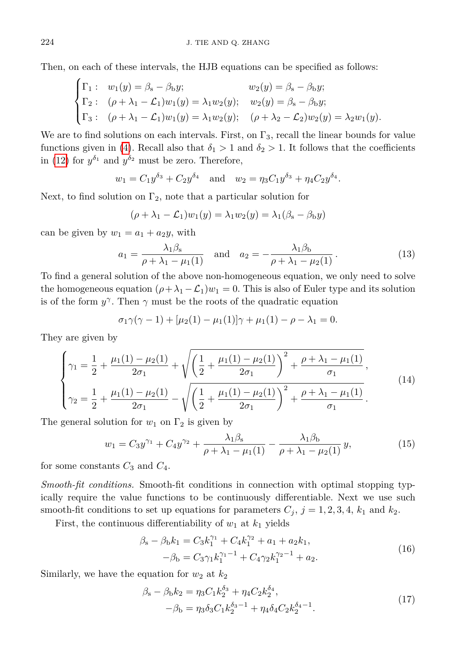Then, on each of these intervals, the HJB equations can be specified as follows:

$$
\begin{cases}\n\Gamma_1: & w_1(y) = \beta_s - \beta_b y; & w_2(y) = \beta_s - \beta_b y; \\
\Gamma_2: & (\rho + \lambda_1 - \mathcal{L}_1)w_1(y) = \lambda_1 w_2(y); & w_2(y) = \beta_s - \beta_b y; \\
\Gamma_3: & (\rho + \lambda_1 - \mathcal{L}_1)w_1(y) = \lambda_1 w_2(y); & (\rho + \lambda_2 - \mathcal{L}_2)w_2(y) = \lambda_2 w_1(y).\n\end{cases}
$$

We are to find solutions on each intervals. First, on  $\Gamma_3$ , recall the linear bounds for value functions given in [\(4\)](#page-2-2). Recall also that  $\delta_1 > 1$  and  $\delta_2 > 1$ . It follows that the coefficients in [\(12\)](#page-4-2) for  $y^{\delta_1}$  and  $y^{\delta_2}$  must be zero. Therefore,

$$
w_1 = C_1 y^{\delta_3} + C_2 y^{\delta_4}
$$
 and  $w_2 = \eta_3 C_1 y^{\delta_3} + \eta_4 C_2 y^{\delta_4}$ .

Next, to find solution on  $\Gamma_2$ , note that a particular solution for

$$
(\rho + \lambda_1 - \mathcal{L}_1)w_1(y) = \lambda_1 w_2(y) = \lambda_1(\beta_s - \beta_b y)
$$

can be given by  $w_1 = a_1 + a_2y$ , with

$$
a_1 = \frac{\lambda_1 \beta_s}{\rho + \lambda_1 - \mu_1(1)} \quad \text{and} \quad a_2 = -\frac{\lambda_1 \beta_b}{\rho + \lambda_1 - \mu_2(1)}.
$$
 (13)

To find a general solution of the above non-homogeneous equation, we only need to solve the homogeneous equation  $(\rho + \lambda_1 - \mathcal{L}_1)w_1 = 0$ . This is also of Euler type and its solution is of the form  $y^{\gamma}$ . Then  $\gamma$  must be the roots of the quadratic equation

$$
\sigma_1 \gamma(\gamma - 1) + [\mu_2(1) - \mu_1(1)]\gamma + \mu_1(1) - \rho - \lambda_1 = 0.
$$

They are given by

$$
\begin{cases}\n\gamma_1 = \frac{1}{2} + \frac{\mu_1(1) - \mu_2(1)}{2\sigma_1} + \sqrt{\left(\frac{1}{2} + \frac{\mu_1(1) - \mu_2(1)}{2\sigma_1}\right)^2 + \frac{\rho + \lambda_1 - \mu_1(1)}{\sigma_1}},\\ \n\gamma_2 = \frac{1}{2} + \frac{\mu_1(1) - \mu_2(1)}{2\sigma_1} - \sqrt{\left(\frac{1}{2} + \frac{\mu_1(1) - \mu_2(1)}{2\sigma_1}\right)^2 + \frac{\rho + \lambda_1 - \mu_1(1)}{\sigma_1}}.\n\end{cases} (14)
$$

The general solution for  $w_1$  on  $\Gamma_2$  is given by

$$
w_1 = C_3 y^{\gamma_1} + C_4 y^{\gamma_2} + \frac{\lambda_1 \beta_s}{\rho + \lambda_1 - \mu_1(1)} - \frac{\lambda_1 \beta_b}{\rho + \lambda_1 - \mu_2(1)} y,\tag{15}
$$

for some constants  $C_3$  and  $C_4$ .

*Smooth-fit conditions.* Smooth-fit conditions in connection with optimal stopping typically require the value functions to be continuously differentiable. Next we use such smooth-fit conditions to set up equations for parameters  $C_j$ ,  $j = 1, 2, 3, 4, k_1$  and  $k_2$ .

First, the continuous differentiability of  $w_1$  at  $k_1$  yields

<span id="page-5-0"></span>
$$
\beta_{s} - \beta_{b} k_{1} = C_{3} k_{1}^{\gamma_{1}} + C_{4} k_{1}^{\gamma_{2}} + a_{1} + a_{2} k_{1},
$$
  

$$
-\beta_{b} = C_{3} \gamma_{1} k_{1}^{\gamma_{1}-1} + C_{4} \gamma_{2} k_{1}^{\gamma_{2}-1} + a_{2}.
$$
 (16)

Similarly, we have the equation for  $w_2$  at  $k_2$ 

<span id="page-5-1"></span>
$$
\beta_{s} - \beta_{b} k_{2} = \eta_{3} C_{1} k_{2}^{\delta_{3}} + \eta_{4} C_{2} k_{2}^{\delta_{4}}, \n- \beta_{b} = \eta_{3} \delta_{3} C_{1} k_{2}^{\delta_{3} - 1} + \eta_{4} \delta_{4} C_{2} k_{2}^{\delta_{4} - 1}.
$$
\n(17)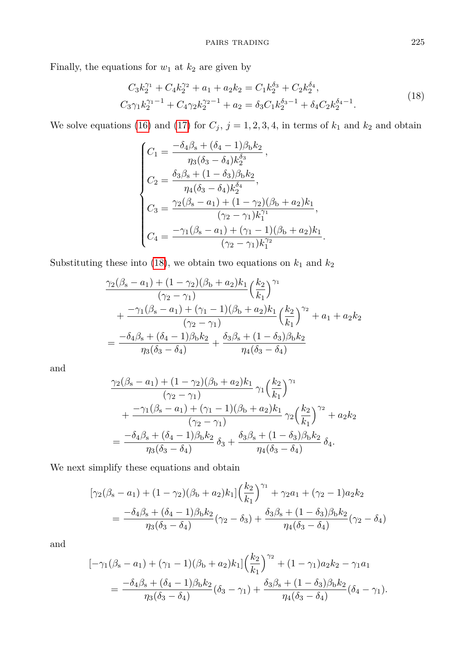Finally, the equations for  $w_1$  at  $k_2$  are given by

<span id="page-6-0"></span>
$$
C_3k_2^{\gamma_1} + C_4k_2^{\gamma_2} + a_1 + a_2k_2 = C_1k_2^{\delta_3} + C_2k_2^{\delta_4},
$$
  
\n
$$
C_3\gamma_1k_2^{\gamma_1-1} + C_4\gamma_2k_2^{\gamma_2-1} + a_2 = \delta_3C_1k_2^{\delta_3-1} + \delta_4C_2k_2^{\delta_4-1}.
$$
\n(18)

We solve equations [\(16\)](#page-5-0) and [\(17\)](#page-5-1) for  $C_j$ ,  $j = 1, 2, 3, 4$ , in terms of  $k_1$  and  $k_2$  and obtain

$$
\begin{cases}\nC_1 = \frac{-\delta_4 \beta_s + (\delta_4 - 1)\beta_b k_2}{\eta_3 (\delta_3 - \delta_4) k_2^{\delta_3}}, \\
C_2 = \frac{\delta_3 \beta_s + (1 - \delta_3)\beta_b k_2}{\eta_4 (\delta_3 - \delta_4) k_2^{\delta_4}}, \\
C_3 = \frac{\gamma_2 (\beta_s - a_1) + (1 - \gamma_2)(\beta_b + a_2) k_1}{(\gamma_2 - \gamma_1) k_1^{\gamma_1}}, \\
C_4 = \frac{-\gamma_1 (\beta_s - a_1) + (\gamma_1 - 1)(\beta_b + a_2) k_1}{(\gamma_2 - \gamma_1) k_1^{\gamma_2}}.\n\end{cases}
$$

Substituting these into [\(18\)](#page-6-0), we obtain two equations on  $k_1$  and  $k_2$ 

$$
\frac{\gamma_2(\beta_{\rm s}-a_1)+(1-\gamma_2)(\beta_{\rm b}+a_2)k_1}{(\gamma_2-\gamma_1)}\left(\frac{k_2}{k_1}\right)^{\gamma_1} \n+ \frac{-\gamma_1(\beta_{\rm s}-a_1)+(\gamma_1-1)(\beta_{\rm b}+a_2)k_1}{(\gamma_2-\gamma_1)}\left(\frac{k_2}{k_1}\right)^{\gamma_2}+a_1+a_2k_2 \n= \frac{-\delta_4\beta_{\rm s}+(\delta_4-1)\beta_{\rm b}k_2}{\eta_3(\delta_3-\delta_4)}+\frac{\delta_3\beta_{\rm s}+(1-\delta_3)\beta_{\rm b}k_2}{\eta_4(\delta_3-\delta_4)}
$$

and

$$
\frac{\gamma_2(\beta_{\rm s}-a_1)+(1-\gamma_2)(\beta_{\rm b}+a_2)k_1}{(\gamma_2-\gamma_1)}\gamma_1\left(\frac{k_2}{k_1}\right)^{\gamma_1} \n+ \frac{-\gamma_1(\beta_{\rm s}-a_1)+(\gamma_1-1)(\beta_{\rm b}+a_2)k_1}{(\gamma_2-\gamma_1)}\gamma_2\left(\frac{k_2}{k_1}\right)^{\gamma_2}+a_2k_2 \n= \frac{-\delta_4\beta_{\rm s}+(\delta_4-1)\beta_{\rm b}k_2}{\eta_3(\delta_3-\delta_4)}\delta_3+\frac{\delta_3\beta_{\rm s}+(1-\delta_3)\beta_{\rm b}k_2}{\eta_4(\delta_3-\delta_4)}\delta_4.
$$

We next simplify these equations and obtain

$$
[\gamma_2(\beta_{\rm s}-a_1) + (1-\gamma_2)(\beta_{\rm b}+a_2)k_1] \left(\frac{k_2}{k_1}\right)^{\gamma_1} + \gamma_2 a_1 + (\gamma_2-1)a_2k_2
$$
  
= 
$$
\frac{-\delta_4\beta_{\rm s} + (\delta_4-1)\beta_{\rm b}k_2}{\eta_3(\delta_3-\delta_4)}(\gamma_2-\delta_3) + \frac{\delta_3\beta_{\rm s} + (1-\delta_3)\beta_{\rm b}k_2}{\eta_4(\delta_3-\delta_4)}(\gamma_2-\delta_4)
$$

and

$$
[-\gamma_1(\beta_{s}-a_1) + (\gamma_1 - 1)(\beta_{b} + a_2)k_1] \left(\frac{k_2}{k_1}\right)^{\gamma_2} + (1 - \gamma_1)a_2k_2 - \gamma_1a_1
$$
  
= 
$$
\frac{-\delta_4\beta_{s} + (\delta_4 - 1)\beta_{b}k_2}{\eta_3(\delta_3 - \delta_4)}(\delta_3 - \gamma_1) + \frac{\delta_3\beta_{s} + (1 - \delta_3)\beta_{b}k_2}{\eta_4(\delta_3 - \delta_4)}(\delta_4 - \gamma_1).
$$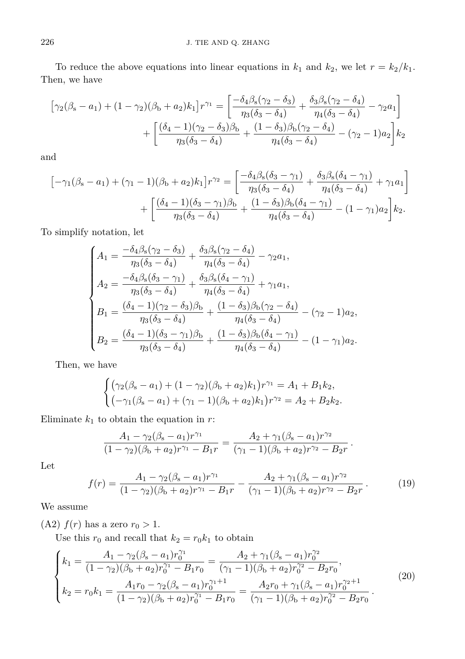To reduce the above equations into linear equations in  $k_1$  and  $k_2$ , we let  $r = k_2/k_1$ . Then, we have

$$
\begin{aligned}\n\left[\gamma_2(\beta_{\rm s}-a_1) + (1-\gamma_2)(\beta_{\rm b}+a_2)k_1\right]r^{\gamma_1} &= \left[\frac{-\delta_4\beta_{\rm s}(\gamma_2-\delta_3)}{\eta_3(\delta_3-\delta_4)} + \frac{\delta_3\beta_{\rm s}(\gamma_2-\delta_4)}{\eta_4(\delta_3-\delta_4)} - \gamma_2a_1\right] \\
&+ \left[\frac{(\delta_4-1)(\gamma_2-\delta_3)\beta_{\rm b}}{\eta_3(\delta_3-\delta_4)} + \frac{(1-\delta_3)\beta_{\rm b}(\gamma_2-\delta_4)}{\eta_4(\delta_3-\delta_4)} - (\gamma_2-1)a_2\right]k_2\n\end{aligned}
$$

and

$$
\begin{aligned}\n&\left[-\gamma_1(\beta_{\rm s}-a_1)+(\gamma_1-1)(\beta_{\rm b}+a_2)k_1\right]r^{\gamma_2} = \left[\frac{-\delta_4\beta_{\rm s}(\delta_3-\gamma_1)}{\eta_3(\delta_3-\delta_4)}+\frac{\delta_3\beta_{\rm s}(\delta_4-\gamma_1)}{\eta_4(\delta_3-\delta_4)}+\gamma_1a_1\right] \\
&+\left[\frac{(\delta_4-1)(\delta_3-\gamma_1)\beta_{\rm b}}{\eta_3(\delta_3-\delta_4)}+\frac{(1-\delta_3)\beta_{\rm b}(\delta_4-\gamma_1)}{\eta_4(\delta_3-\delta_4)}-(1-\gamma_1)a_2\right]k_2.\n\end{aligned}
$$

To simplify notation, let

$$
\begin{cases}\nA_1 = \frac{-\delta_4 \beta_s (\gamma_2 - \delta_3)}{\eta_3 (\delta_3 - \delta_4)} + \frac{\delta_3 \beta_s (\gamma_2 - \delta_4)}{\eta_4 (\delta_3 - \delta_4)} - \gamma_2 a_1, \\
A_2 = \frac{-\delta_4 \beta_s (\delta_3 - \gamma_1)}{\eta_3 (\delta_3 - \delta_4)} + \frac{\delta_3 \beta_s (\delta_4 - \gamma_1)}{\eta_4 (\delta_3 - \delta_4)} + \gamma_1 a_1, \\
B_1 = \frac{(\delta_4 - 1)(\gamma_2 - \delta_3)\beta_b}{\eta_3 (\delta_3 - \delta_4)} + \frac{(1 - \delta_3)\beta_b (\gamma_2 - \delta_4)}{\eta_4 (\delta_3 - \delta_4)} - (\gamma_2 - 1)a_2, \\
B_2 = \frac{(\delta_4 - 1)(\delta_3 - \gamma_1)\beta_b}{\eta_3 (\delta_3 - \delta_4)} + \frac{(1 - \delta_3)\beta_b (\delta_4 - \gamma_1)}{\eta_4 (\delta_3 - \delta_4)} - (1 - \gamma_1)a_2.\n\end{cases}
$$

Then, we have

$$
\begin{cases} (\gamma_2(\beta_s - a_1) + (1 - \gamma_2)(\beta_b + a_2)k_1)r^{\gamma_1} = A_1 + B_1k_2, \\ (-\gamma_1(\beta_s - a_1) + (\gamma_1 - 1)(\beta_b + a_2)k_1)r^{\gamma_2} = A_2 + B_2k_2. \end{cases}
$$

Eliminate  $k_1$  to obtain the equation in  $r$ :

$$
\frac{A_1 - \gamma_2(\beta_s - a_1)r^{\gamma_1}}{(1 - \gamma_2)(\beta_b + a_2)r^{\gamma_1} - B_1r} = \frac{A_2 + \gamma_1(\beta_s - a_1)r^{\gamma_2}}{(\gamma_1 - 1)(\beta_b + a_2)r^{\gamma_2} - B_2r}.
$$

<span id="page-7-0"></span>Let

<span id="page-7-1"></span>
$$
f(r) = \frac{A_1 - \gamma_2(\beta_s - a_1)r^{\gamma_1}}{(1 - \gamma_2)(\beta_b + a_2)r^{\gamma_1} - B_1r} - \frac{A_2 + \gamma_1(\beta_s - a_1)r^{\gamma_2}}{(\gamma_1 - 1)(\beta_b + a_2)r^{\gamma_2} - B_2r}.
$$
 (19)

We assume

(A2)  $f(r)$  has a zero  $r_0 > 1$ .

Use this  $r_0$  and recall that  $k_2 = r_0 k_1$  to obtain

$$
\begin{cases}\nk_1 = \frac{A_1 - \gamma_2(\beta_s - a_1)r_0^{\gamma_1}}{(1 - \gamma_2)(\beta_b + a_2)r_0^{\gamma_1} - B_1r_0} = \frac{A_2 + \gamma_1(\beta_s - a_1)r_0^{\gamma_2}}{(\gamma_1 - 1)(\beta_b + a_2)r_0^{\gamma_2} - B_2r_0},\\ \nk_2 = r_0k_1 = \frac{A_1r_0 - \gamma_2(\beta_s - a_1)r_0^{\gamma_1 + 1}}{(1 - \gamma_2)(\beta_b + a_2)r_0^{\gamma_1} - B_1r_0} = \frac{A_2r_0 + \gamma_1(\beta_s - a_1)r_0^{\gamma_2 + 1}}{(\gamma_1 - 1)(\beta_b + a_2)r_0^{\gamma_2} - B_2r_0}.\n\end{cases} (20)
$$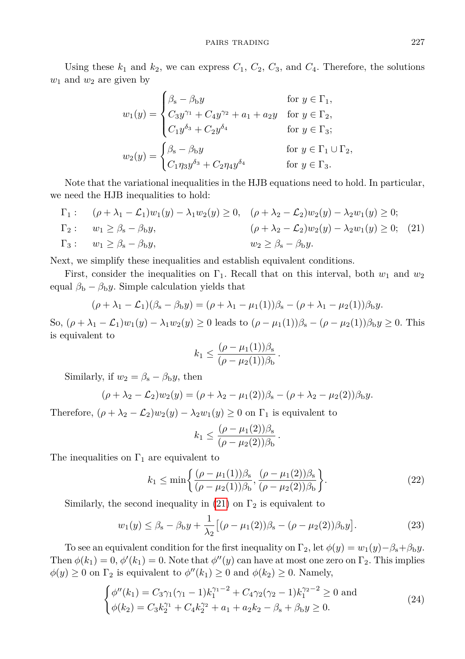Using these  $k_1$  and  $k_2$ , we can express  $C_1$ ,  $C_2$ ,  $C_3$ , and  $C_4$ . Therefore, the solutions *w*<sup>1</sup> and *w*<sup>2</sup> are given by

<span id="page-8-0"></span>
$$
w_1(y) = \begin{cases} \beta_s - \beta_b y & \text{for } y \in \Gamma_1, \\ C_3 y^{\gamma_1} + C_4 y^{\gamma_2} + a_1 + a_2 y & \text{for } y \in \Gamma_2, \\ C_1 y^{\delta_3} + C_2 y^{\delta_4} & \text{for } y \in \Gamma_3; \end{cases}
$$
  

$$
w_2(y) = \begin{cases} \beta_s - \beta_b y & \text{for } y \in \Gamma_1 \cup \Gamma_2, \\ C_1 \eta_3 y^{\delta_3} + C_2 \eta_4 y^{\delta_4} & \text{for } y \in \Gamma_3. \end{cases}
$$

Note that the variational inequalities in the HJB equations need to hold. In particular, we need the HJB inequalities to hold:

$$
\Gamma_1: \quad (\rho + \lambda_1 - \mathcal{L}_1)w_1(y) - \lambda_1 w_2(y) \ge 0, \quad (\rho + \lambda_2 - \mathcal{L}_2)w_2(y) - \lambda_2 w_1(y) \ge 0; \n\Gamma_2: \quad w_1 \ge \beta_s - \beta_b y, \quad (\rho + \lambda_2 - \mathcal{L}_2)w_2(y) - \lambda_2 w_1(y) \ge 0; \quad (21) \n\Gamma_3: \quad w_1 \ge \beta_s - \beta_b y, \quad w_2 \ge \beta_s - \beta_b y.
$$

Next, we simplify these inequalities and establish equivalent conditions.

First, consider the inequalities on  $\Gamma_1$ . Recall that on this interval, both  $w_1$  and  $w_2$ equal  $\beta_{\rm b} - \beta_{\rm b} y$ . Simple calculation yields that

$$
(\rho + \lambda_1 - \mathcal{L}_1)(\beta_s - \beta_b y) = (\rho + \lambda_1 - \mu_1(1))\beta_s - (\rho + \lambda_1 - \mu_2(1))\beta_b y.
$$

So,  $(\rho + \lambda_1 - \mathcal{L}_1)w_1(y) - \lambda_1w_2(y) \ge 0$  leads to  $(\rho - \mu_1(1))\beta_s - (\rho - \mu_2(1))\beta_b y \ge 0$ . This is equivalent to

$$
k_1 \leq \frac{(\rho - \mu_1(1))\beta_s}{(\rho - \mu_2(1))\beta_b}
$$

Similarly, if  $w_2 = \beta_s - \beta_b y$ , then

$$
(\rho + \lambda_2 - \mathcal{L}_2)w_2(y) = (\rho + \lambda_2 - \mu_1(2))\beta_s - (\rho + \lambda_2 - \mu_2(2))\beta_b y.
$$

Therefore,  $(\rho + \lambda_2 - \mathcal{L}_2)w_2(y) - \lambda_2w_1(y) \geq 0$  on  $\Gamma_1$  is equivalent to

<span id="page-8-3"></span><span id="page-8-2"></span><span id="page-8-1"></span>
$$
k_1 \leq \frac{(\rho - \mu_1(2))\beta_{\rm s}}{(\rho - \mu_2(2))\beta_{\rm b}}.
$$

The inequalities on  $\Gamma_1$  are equivalent to

$$
k_1 \le \min\left\{\frac{(\rho - \mu_1(1))\beta_s}{(\rho - \mu_2(1))\beta_b}, \frac{(\rho - \mu_1(2))\beta_s}{(\rho - \mu_2(2))\beta_b}\right\}.
$$
 (22)

*.*

Similarly, the second inequality in [\(21\)](#page-8-0) on  $\Gamma_2$  is equivalent to

$$
w_1(y) \le \beta_s - \beta_b y + \frac{1}{\lambda_2} \left[ (\rho - \mu_1(2)) \beta_s - (\rho - \mu_2(2)) \beta_b y \right].
$$
 (23)

To see an equivalent condition for the first inequality on  $\Gamma_2$ , let  $\phi(y) = w_1(y) - \beta_s + \beta_b y$ . Then  $\phi(k_1) = 0$ ,  $\phi'(k_1) = 0$ . Note that  $\phi''(y)$  can have at most one zero on  $\Gamma_2$ . This implies  $\phi(y) \geq 0$  on  $\Gamma_2$  is equivalent to  $\phi''(k_1) \geq 0$  and  $\phi(k_2) \geq 0$ . Namely,

$$
\begin{cases}\n\phi''(k_1) = C_3 \gamma_1 (\gamma_1 - 1) k_1^{\gamma_1 - 2} + C_4 \gamma_2 (\gamma_2 - 1) k_1^{\gamma_2 - 2} \ge 0 \text{ and} \\
\phi(k_2) = C_3 k_2^{\gamma_1} + C_4 k_2^{\gamma_2} + a_1 + a_2 k_2 - \beta_s + \beta_b y \ge 0.\n\end{cases}
$$
\n(24)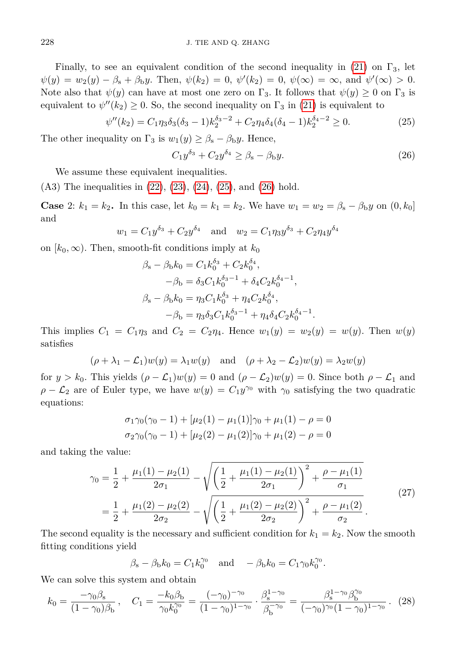Finally, to see an equivalent condition of the second inequality in [\(21\)](#page-8-0) on  $\Gamma_3$ , let  $\psi(y) = w_2(y) - \beta_s + \beta_b y$ . Then,  $\psi(k_2) = 0$ ,  $\psi'(k_2) = 0$ ,  $\psi(\infty) = \infty$ , and  $\psi'(\infty) > 0$ . Note also that  $\psi(y)$  can have at most one zero on  $\Gamma_3$ . It follows that  $\psi(y) \geq 0$  on  $\Gamma_3$  is equivalent to  $\psi''(k_2) \geq 0$ . So, the second inequality on  $\Gamma_3$  in [\(21\)](#page-8-0) is equivalent to

$$
\psi''(k_2) = C_1 \eta_3 \delta_3 (\delta_3 - 1) k_2^{\delta_3 - 2} + C_2 \eta_4 \delta_4 (\delta_4 - 1) k_2^{\delta_4 - 2} \ge 0.
$$
 (25)

The other inequality on  $\Gamma_3$  is  $w_1(y) \geq \beta_s - \beta_b y$ . Hence,

<span id="page-9-1"></span><span id="page-9-0"></span>
$$
C_1 y^{\delta_3} + C_2 y^{\delta_4} \ge \beta_s - \beta_b y. \tag{26}
$$

We assume these equivalent inequalities.

 $(A3)$  The inequalities in  $(22), (23), (24), (25),$  $(22), (23), (24), (25),$  $(22), (23), (24), (25),$  $(22), (23), (24), (25),$  $(22), (23), (24), (25),$  $(22), (23), (24), (25),$  $(22), (23), (24), (25),$  $(22), (23), (24), (25),$  and  $(26)$  hold.

**Case** 2:  $k_1 = k_2$ . In this case, let  $k_0 = k_1 = k_2$ . We have  $w_1 = w_2 = \beta_s - \beta_b y$  on  $(0, k_0]$ and

$$
w_1 = C_1 y^{\delta_3} + C_2 y^{\delta_4}
$$
 and  $w_2 = C_1 \eta_3 y^{\delta_3} + C_2 \eta_4 y^{\delta_4}$ 

on  $[k_0, \infty)$ . Then, smooth-fit conditions imply at  $k_0$ 

$$
\beta_{s} - \beta_{b}k_{0} = C_{1}k_{0}^{\delta_{3}} + C_{2}k_{0}^{\delta_{4}},
$$
  
\n
$$
-\beta_{b} = \delta_{3}C_{1}k_{0}^{\delta_{3}-1} + \delta_{4}C_{2}k_{0}^{\delta_{4}-1},
$$
  
\n
$$
\beta_{s} - \beta_{b}k_{0} = \eta_{3}C_{1}k_{0}^{\delta_{3}} + \eta_{4}C_{2}k_{0}^{\delta_{4}},
$$
  
\n
$$
-\beta_{b} = \eta_{3}\delta_{3}C_{1}k_{0}^{\delta_{3}-1} + \eta_{4}\delta_{4}C_{2}k_{0}^{\delta_{4}-1}.
$$

This implies  $C_1 = C_1 \eta_3$  and  $C_2 = C_2 \eta_4$ . Hence  $w_1(y) = w_2(y) = w(y)$ . Then  $w(y)$ satisfies

$$
(\rho + \lambda_1 - \mathcal{L}_1)w(y) = \lambda_1 w(y) \text{ and } (\rho + \lambda_2 - \mathcal{L}_2)w(y) = \lambda_2 w(y)
$$

for  $y > k_0$ . This yields  $(\rho - \mathcal{L}_1)w(y) = 0$  and  $(\rho - \mathcal{L}_2)w(y) = 0$ . Since both  $\rho - \mathcal{L}_1$  and  $\rho - \mathcal{L}_2$  are of Euler type, we have  $w(y) = C_1 y^{\gamma_0}$  with  $\gamma_0$  satisfying the two quadratic equations:

<span id="page-9-2"></span>
$$
\sigma_1 \gamma_0 (\gamma_0 - 1) + [\mu_2(1) - \mu_1(1)] \gamma_0 + \mu_1(1) - \rho = 0
$$
  

$$
\sigma_2 \gamma_0 (\gamma_0 - 1) + [\mu_2(2) - \mu_1(2)] \gamma_0 + \mu_1(2) - \rho = 0
$$

and taking the value:

$$
\gamma_0 = \frac{1}{2} + \frac{\mu_1(1) - \mu_2(1)}{2\sigma_1} - \sqrt{\left(\frac{1}{2} + \frac{\mu_1(1) - \mu_2(1)}{2\sigma_1}\right)^2 + \frac{\rho - \mu_1(1)}{\sigma_1}}
$$
  
= 
$$
\frac{1}{2} + \frac{\mu_1(2) - \mu_2(2)}{2\sigma_2} - \sqrt{\left(\frac{1}{2} + \frac{\mu_1(2) - \mu_2(2)}{2\sigma_2}\right)^2 + \frac{\rho - \mu_1(2)}{\sigma_2}}.
$$
(27)

The second equality is the necessary and sufficient condition for  $k_1 = k_2$ . Now the smooth fitting conditions yield

<span id="page-9-3"></span>
$$
\beta_{\rm s} - \beta_{\rm b} k_0 = C_1 k_0^{\gamma_0}
$$
 and  $-\beta_{\rm b} k_0 = C_1 \gamma_0 k_0^{\gamma_0}$ .

We can solve this system and obtain

$$
k_0 = \frac{-\gamma_0 \beta_s}{(1 - \gamma_0)\beta_b}, \quad C_1 = \frac{-k_0 \beta_b}{\gamma_0 k_0^{\gamma_0}} = \frac{(-\gamma_0)^{-\gamma_0}}{(1 - \gamma_0)^{1 - \gamma_0}} \cdot \frac{\beta_s^{1 - \gamma_0}}{\beta_b^{-\gamma_0}} = \frac{\beta_s^{1 - \gamma_0} \beta_b^{\gamma_0}}{(-\gamma_0)^{\gamma_0} (1 - \gamma_0)^{1 - \gamma_0}}. \tag{28}
$$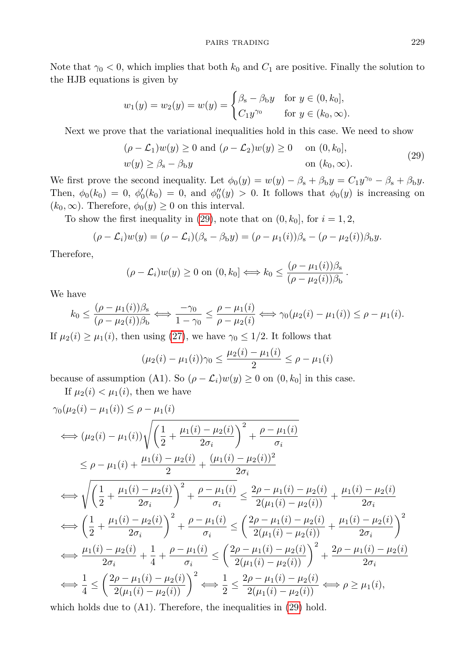Note that  $\gamma_0 < 0$ , which implies that both  $k_0$  and  $C_1$  are positive. Finally the solution to the HJB equations is given by

$$
w_1(y) = w_2(y) = w(y) = \begin{cases} \beta_s - \beta_b y & \text{for } y \in (0, k_0], \\ C_1 y^{\gamma_0} & \text{for } y \in (k_0, \infty). \end{cases}
$$

Next we prove that the variational inequalities hold in this case. We need to show

<span id="page-10-0"></span>
$$
(\rho - \mathcal{L}_1)w(y) \ge 0 \text{ and } (\rho - \mathcal{L}_2)w(y) \ge 0 \quad \text{on } (0, k_0],
$$
  

$$
w(y) \ge \beta_s - \beta_b y \qquad \text{on } (k_0, \infty).
$$
 (29)

We first prove the second inequality. Let  $\phi_0(y) = w(y) - \beta_s + \beta_b y = C_1 y^{\gamma_0} - \beta_s + \beta_b y$ . Then,  $\phi_0(k_0) = 0$ ,  $\phi_0'(k_0) = 0$ , and  $\phi_0''(y) > 0$ . It follows that  $\phi_0(y)$  is increasing on  $(k_0, \infty)$ . Therefore,  $\phi_0(y) \geq 0$  on this interval.

To show the first inequality in [\(29\)](#page-10-0), note that on  $(0, k_0]$ , for  $i = 1, 2$ ,

$$
(\rho - \mathcal{L}_i)w(y) = (\rho - \mathcal{L}_i)(\beta_s - \beta_b y) = (\rho - \mu_1(i))\beta_s - (\rho - \mu_2(i))\beta_b y.
$$

Therefore,

$$
(\rho - \mathcal{L}_i)w(y) \ge 0 \text{ on } (0, k_0] \Longleftrightarrow k_0 \le \frac{(\rho - \mu_1(i))\beta_s}{(\rho - \mu_2(i))\beta_b}.
$$

We have

$$
k_0 \leq \frac{(\rho - \mu_1(i))\beta_s}{(\rho - \mu_2(i))\beta_b} \Longleftrightarrow \frac{-\gamma_0}{1 - \gamma_0} \leq \frac{\rho - \mu_1(i)}{\rho - \mu_2(i)} \Longleftrightarrow \gamma_0(\mu_2(i) - \mu_1(i)) \leq \rho - \mu_1(i).
$$

If  $\mu_2(i) \geq \mu_1(i)$ , then using [\(27\)](#page-9-2), we have  $\gamma_0 \leq 1/2$ . It follows that

$$
(\mu_2(i) - \mu_1(i))\gamma_0 \le \frac{\mu_2(i) - \mu_1(i)}{2} \le \rho - \mu_1(i)
$$

because of assumption (A1). So  $(\rho - \mathcal{L}_i)w(y) \geq 0$  on  $(0, k_0]$  in this case.

If  $\mu_2(i) < \mu_1(i)$ , then we have

$$
\gamma_0(\mu_2(i) - \mu_1(i)) \le \rho - \mu_1(i)
$$
\n
$$
\iff (\mu_2(i) - \mu_1(i)) \sqrt{\left(\frac{1}{2} + \frac{\mu_1(i) - \mu_2(i)}{2\sigma_i}\right)^2 + \frac{\rho - \mu_1(i)}{\sigma_i}}
$$
\n
$$
\le \rho - \mu_1(i) + \frac{\mu_1(i) - \mu_2(i)}{2} + \frac{(\mu_1(i) - \mu_2(i))^2}{2\sigma_i}
$$
\n
$$
\iff \sqrt{\left(\frac{1}{2} + \frac{\mu_1(i) - \mu_2(i)}{2\sigma_i}\right)^2 + \frac{\rho - \mu_1(i)}{\sigma_i}} \le \frac{2\rho - \mu_1(i) - \mu_2(i)}{2(\mu_1(i) - \mu_2(i))} + \frac{\mu_1(i) - \mu_2(i)}{2\sigma_i}
$$
\n
$$
\iff \left(\frac{1}{2} + \frac{\mu_1(i) - \mu_2(i)}{2\sigma_i}\right)^2 + \frac{\rho - \mu_1(i)}{\sigma_i} \le \left(\frac{2\rho - \mu_1(i) - \mu_2(i)}{2(\mu_1(i) - \mu_2(i))} + \frac{\mu_1(i) - \mu_2(i)}{2\sigma_i}\right)^2
$$
\n
$$
\iff \frac{\mu_1(i) - \mu_2(i)}{2\sigma_i} + \frac{1}{4} + \frac{\rho - \mu_1(i)}{\sigma_i} \le \left(\frac{2\rho - \mu_1(i) - \mu_2(i)}{2(\mu_1(i) - \mu_2(i))}\right)^2 + \frac{2\rho - \mu_1(i) - \mu_2(i)}{2\sigma_i}
$$
\n
$$
\iff \frac{1}{4} \le \left(\frac{2\rho - \mu_1(i) - \mu_2(i)}{2(\mu_1(i) - \mu_2(i))}\right)^2 \iff \frac{1}{2} \le \frac{2\rho - \mu_1(i) - \mu_2(i)}{2(\mu_1(i) - \mu_2(i))} \iff \rho \ge \mu_1(i),
$$

which holds due to  $(A1)$ . Therefore, the inequalities in  $(29)$  hold.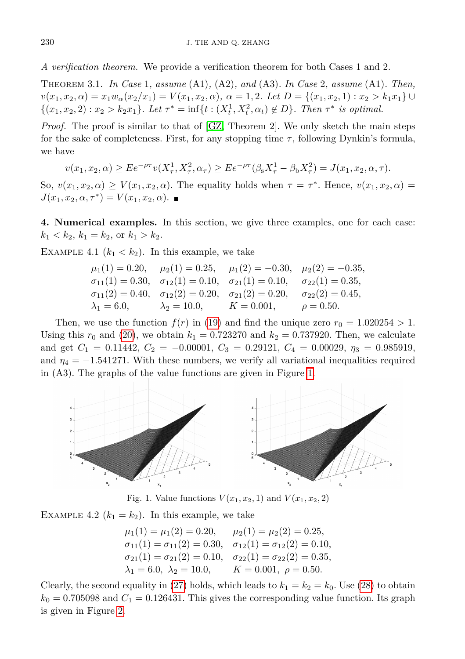*A verification theorem.* We provide a verification theorem for both Cases 1 and 2.

Theorem 3.1. *In Case* 1*, assume* (A1)*,* (A2)*, and* (A3)*. In Case* 2*, assume* (A1)*. Then,*  $v(x_1, x_2, \alpha) = x_1 w_\alpha(x_2/x_1) = V(x_1, x_2, \alpha), \ \alpha = 1, 2.$  Let  $D = \{(x_1, x_2, 1) : x_2 > k_1 x_1\} \cup$  $\{(x_1, x_2, 2) : x_2 > k_2 x_1\}$ *. Let*  $\tau^* = \inf\{t : (X_t^1, X_t^2, \alpha_t) \notin D\}$ *. Then*  $\tau^*$  *is optimal.* 

*Proof.* The proof is similar to that of [\[GZ,](#page-13-3) Theorem 2]. We only sketch the main steps for the sake of completeness. First, for any stopping time  $\tau$ , following Dynkin's formula, we have

$$
v(x_1, x_2, \alpha) \ge E e^{-\rho \tau} v(X_{\tau}^1, X_{\tau}^2, \alpha_{\tau}) \ge E e^{-\rho \tau} (\beta_{s} X_{\tau}^1 - \beta_{b} X_{\tau}^2) = J(x_1, x_2, \alpha, \tau).
$$

So,  $v(x_1, x_2, \alpha) \ge V(x_1, x_2, \alpha)$ . The equality holds when  $\tau = \tau^*$ . Hence,  $v(x_1, x_2, \alpha)$  $J(x_1, x_2, \alpha, \tau^*) = V(x_1, x_2, \alpha).$ 

**4. Numerical examples.** In this section, we give three examples, one for each case:  $k_1 < k_2, k_1 = k_2, \text{ or } k_1 > k_2.$ 

<span id="page-11-2"></span>EXAMPLE 4.1  $(k_1 < k_2)$ . In this example, we take

$$
\mu_1(1) = 0.20,
$$
  $\mu_2(1) = 0.25,$   $\mu_1(2) = -0.30,$   $\mu_2(2) = -0.35,$   
\n $\sigma_{11}(1) = 0.30,$   $\sigma_{12}(1) = 0.10,$   $\sigma_{21}(1) = 0.10,$   $\sigma_{22}(1) = 0.35,$   
\n $\sigma_{11}(2) = 0.40,$   $\sigma_{12}(2) = 0.20,$   $\sigma_{21}(2) = 0.20,$   $\sigma_{22}(2) = 0.45,$   
\n $\lambda_1 = 6.0,$   $\lambda_2 = 10.0,$   $K = 0.001,$   $\rho = 0.50.$ 

Then, we use the function  $f(r)$  in [\(19\)](#page-7-0) and find the unique zero  $r_0 = 1.020254 > 1$ . Using this  $r_0$  and [\(20\)](#page-7-1), we obtain  $k_1 = 0.723270$  and  $k_2 = 0.737920$ . Then, we calculate and get  $C_1 = 0.11442$ ,  $C_2 = -0.00001$ ,  $C_3 = 0.29121$ ,  $C_4 = 0.00029$ ,  $\eta_3 = 0.985919$ , and  $\eta_4 = -1.541271$ . With these numbers, we verify all variational inequalities required in (A3). The graphs of the value functions are given in Figure [1.](#page-11-0)

<span id="page-11-0"></span>

Fig. 1. Value functions  $V(x_1, x_2, 1)$  and  $V(x_1, x_2, 2)$ 

EXAMPLE 4.2  $(k_1 = k_2)$ . In this example, we take

 $\mu_1(1) = \mu_1(2) = 0.20, \quad \mu_2(1) = \mu_2(2) = 0.25,$  $\sigma_{11}(1) = \sigma_{11}(2) = 0.30, \quad \sigma_{12}(1) = \sigma_{12}(2) = 0.10,$  $\sigma_{21}(1) = \sigma_{21}(2) = 0.10, \quad \sigma_{22}(1) = \sigma_{22}(2) = 0.35,$  $\lambda_1 = 6.0, \ \lambda_2 = 10.0, \quad K = 0.001, \ \rho = 0.50.$ 

<span id="page-11-1"></span>Clearly, the second equality in [\(27\)](#page-9-2) holds, which leads to  $k_1 = k_2 = k_0$ . Use [\(28\)](#page-9-3) to obtain  $k_0 = 0.705098$  and  $C_1 = 0.126431$ . This gives the corresponding value function. Its graph is given in Figure [2.](#page-11-1)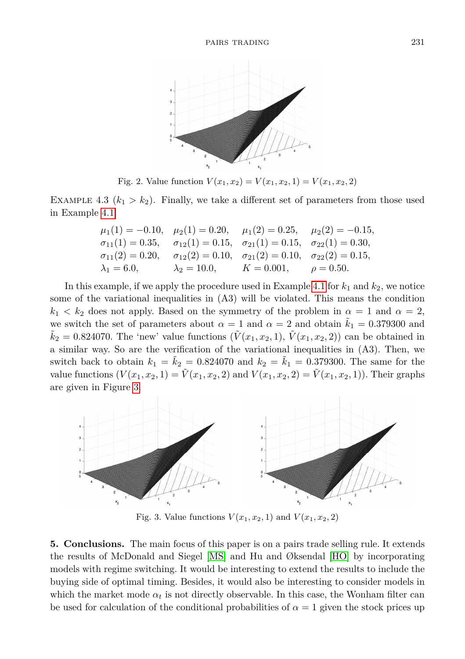

Fig. 2. Value function  $V(x_1, x_2) = V(x_1, x_2, 1) = V(x_1, x_2, 2)$ 

EXAMPLE 4.3  $(k_1 > k_2)$ . Finally, we take a different set of parameters from those used in Example [4.1:](#page-11-2)

$$
\mu_1(1) = -0.10,
$$
  $\mu_2(1) = 0.20,$   $\mu_1(2) = 0.25,$   $\mu_2(2) = -0.15,$   
\n $\sigma_{11}(1) = 0.35,$   $\sigma_{12}(1) = 0.15,$   $\sigma_{21}(1) = 0.15,$   $\sigma_{22}(1) = 0.30,$   
\n $\sigma_{11}(2) = 0.20,$   $\sigma_{12}(2) = 0.10,$   $\sigma_{21}(2) = 0.10,$   $\sigma_{22}(2) = 0.15,$   
\n $\lambda_1 = 6.0,$   $\lambda_2 = 10.0,$   $K = 0.001,$   $\rho = 0.50.$ 

In this example, if we apply the procedure used in Example [4.1](#page-11-2) for  $k_1$  and  $k_2$ , we notice some of the variational inequalities in (A3) will be violated. This means the condition  $k_1 < k_2$  does not apply. Based on the symmetry of the problem in  $\alpha = 1$  and  $\alpha = 2$ , we switch the set of parameters about  $\alpha = 1$  and  $\alpha = 2$  and obtain  $\tilde{k}_1 = 0.379300$  and  $\tilde{k}_2 = 0.824070$ . The 'new' value functions  $(\tilde{V}(x_1, x_2, 1), \tilde{V}(x_1, x_2, 2))$  can be obtained in a similar way. So are the verification of the variational inequalities in (A3). Then, we switch back to obtain  $k_1 = \tilde{k}_2 = 0.824070$  and  $k_2 = \tilde{k}_1 = 0.379300$ . The same for the value functions  $(V(x_1, x_2, 1) = \tilde{V}(x_1, x_2, 2)$  and  $V(x_1, x_2, 2) = \tilde{V}(x_1, x_2, 1)$ . Their graphs are given in Figure [3.](#page-12-0)

<span id="page-12-0"></span>

Fig. 3. Value functions  $V(x_1, x_2, 1)$  and  $V(x_1, x_2, 2)$ 

**5. Conclusions.** The main focus of this paper is on a pairs trade selling rule. It extends the results of McDonald and Siegel [\[MS\]](#page-13-0) and Hu and Øksendal [\[HO\]](#page-13-1) by incorporating models with regime switching. It would be interesting to extend the results to include the buying side of optimal timing. Besides, it would also be interesting to consider models in which the market mode  $\alpha_t$  is not directly observable. In this case, the Wonham filter can be used for calculation of the conditional probabilities of  $\alpha = 1$  given the stock prices up